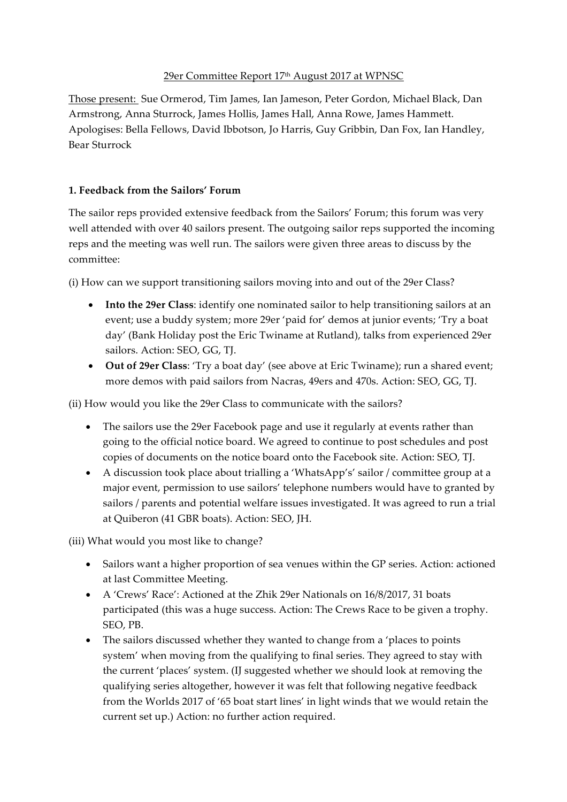## 29er Committee Report 17th August 2017 at WPNSC

Those present: Sue Ormerod, Tim James, Ian Jameson, Peter Gordon, Michael Black, Dan Armstrong, Anna Sturrock, James Hollis, James Hall, Anna Rowe, James Hammett. Apologises: Bella Fellows, David Ibbotson, Jo Harris, Guy Gribbin, Dan Fox, Ian Handley, Bear Sturrock

## **1. Feedback from the Sailors' Forum**

The sailor reps provided extensive feedback from the Sailors' Forum; this forum was very well attended with over 40 sailors present. The outgoing sailor reps supported the incoming reps and the meeting was well run. The sailors were given three areas to discuss by the committee:

(i) How can we support transitioning sailors moving into and out of the 29er Class?

- **Into the 29er Class**: identify one nominated sailor to help transitioning sailors at an event; use a buddy system; more 29er 'paid for' demos at junior events; 'Try a boat day' (Bank Holiday post the Eric Twiname at Rutland), talks from experienced 29er sailors. Action: SEO, GG, TJ.
- **Out of 29er Class**: 'Try a boat day' (see above at Eric Twiname); run a shared event; more demos with paid sailors from Nacras, 49ers and 470s. Action: SEO, GG, TJ.

(ii) How would you like the 29er Class to communicate with the sailors?

- The sailors use the 29er Facebook page and use it regularly at events rather than going to the official notice board. We agreed to continue to post schedules and post copies of documents on the notice board onto the Facebook site. Action: SEO, TJ.
- A discussion took place about trialling a 'WhatsApp's' sailor / committee group at a major event, permission to use sailors' telephone numbers would have to granted by sailors / parents and potential welfare issues investigated. It was agreed to run a trial at Quiberon (41 GBR boats). Action: SEO, JH.

(iii) What would you most like to change?

- Sailors want a higher proportion of sea venues within the GP series. Action: actioned at last Committee Meeting.
- A 'Crews' Race': Actioned at the Zhik 29er Nationals on 16/8/2017, 31 boats participated (this was a huge success. Action: The Crews Race to be given a trophy. SEO, PB.
- The sailors discussed whether they wanted to change from a 'places to points system' when moving from the qualifying to final series. They agreed to stay with the current 'places' system. (IJ suggested whether we should look at removing the qualifying series altogether, however it was felt that following negative feedback from the Worlds 2017 of '65 boat start lines' in light winds that we would retain the current set up.) Action: no further action required.